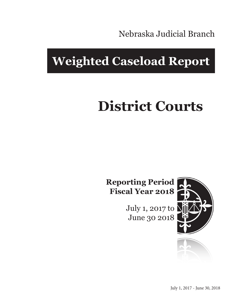Nebraska Judicial Branch

## **Weighted Caseload Report**

# **District Courts**

**Reporting Period Fiscal Year 2018**

> July 1, 2017 to June 30 2018



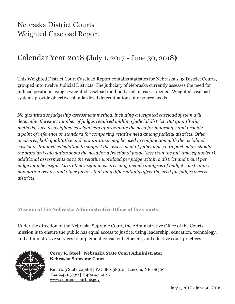## Nebraska District Courts Weighted Caseload Report

## Calendar Year 2018 **(**July 1, 2017 - June 30, 2018**)**

This Weighted District Court Caseload Report contains statistics for Nebraska's 93 District Courts, grouped into twelve Judicial Districts. The judiciary of Nebraska currently assesses the need for judicial positions using a weighted caseload method based on cases opened. Weighted caseload systems provide objective, standardized determinations of resource needs.

*No quantitative judgeship assessment method, including a weighted caseload system will determine the exact number of judges required within a judicial district. But quantitative methods, such as weighted caseload can approximate the need for judgeships and provide a point of reference or standard for comparing relative need among judicial districts. Other measures, both qualitative and quantitative, may be used in conjunction with the weighted caseload standard calculation to support the assessment of judicial need. In particular, should the standard calculation show the need for a fractional judge (less than the full-time equivalent), additional assessments as to the relative workload per judge within a district and travel per judge may be useful. Also, other useful measures may include analyses of budget constraints, population trends, and other factors that may differentially affect the need for judges across districts.*

**Mission of the Nebraska Administrative Office of the Courts:**

Under the direction of the Nebraska Supreme Court, the Administrative Office of the Courts' mission is to ensure the public has equal access to justice, using leadership, education, technology, and administrative services to implement consistent, efficient, and effective court practices.



#### **Corey R. Steel | Nebraska State Court Administrator Nebraska Supreme Court**

Rm. 1213 State Capitol | P.O. Box 98910 | Lincoln, NE 68509 T 402.471.3730 | F 402.471.2197 www.supremecourt.ne.gov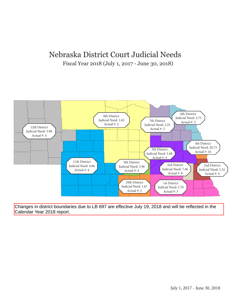### Nebraska District Court Judicial Needs Fiscal Year 2018 (July 1, 2017 - June 30, 2018)



Changes in district boundaries due to LB 697 are effective July 19, 2018 and will be reflected in the Calendar Year 2018 report.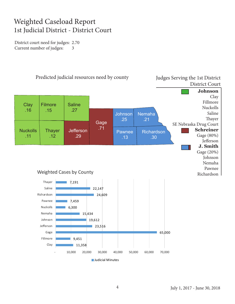### Weighted Caseload Report 1st Judicial District - District Court

District court need for judges: 2.70 Current number of judges: 3

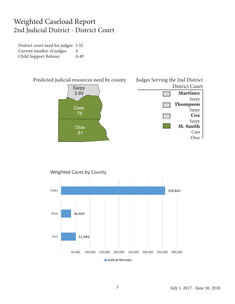### Weighted Caseload Report 2nd Judicial District - District Court

District court need for judges: 5.32 Current number of judges: 4 Child Support Referee: 0.49



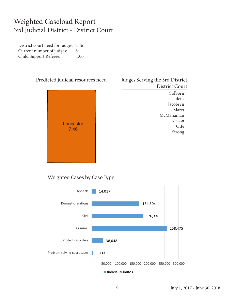### Weighted Caseload Report 3rd Judicial District - District Court

District court need for judges: 7.46 Current number of judges: 8 Child Support Referee: 1.00



### Judges Serving the 3rd District District Court

Colborn Ideus Jacobsen Maret McManaman Nelson **Otte** Strong

#### Weighted Cases by Case Type

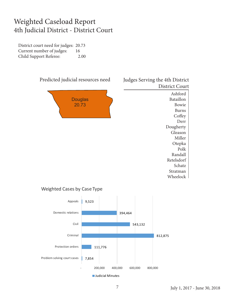### Weighted Caseload Report 4th Judicial District - District Court

District court need for judges: 20.73 Current number of judges: 16 Child Support Referee: 2.00



#### Weighted Cases by Case Type

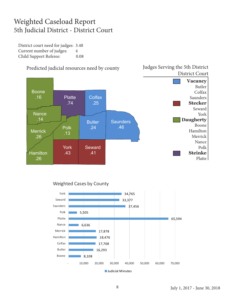### Weighted Caseload Report 5th Judicial District - District Court

District court need for judges: 3.48 Current number of judges: 4 Child Support Referee: 0.08



#### Predicted judicial resources need by county

#### Weighted Cases by County



Judges Serving the 5th District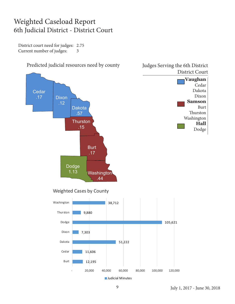### Weighted Caseload Report 6th Judicial District - District Court

District court need for judges: 2.75 Current number of judges: 3

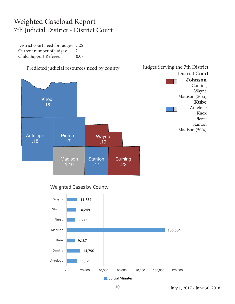### Weighted Caseload Report 7th Judicial District - District Court

District court need for judges: 2.25 Current number of judges: 2 Child Support Referee: 0.07



#### Weighted Cases by County



July 1, 2017 - June 30, 2018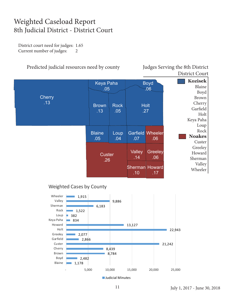### Weighted Caseload Report 8th Judicial District - District Court

District court need for judges: 1.65 Current number of judges: 2

#### Predicted judicial resources need by county Judges Serving the 8th District

District Court



#### Weighted Cases by County



July 1, 2017 - June 30, 2018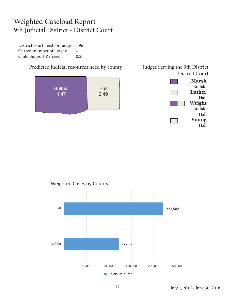### Weighted Caseload Report 9th Judicial District - District Court

District court need for judges: 3.96 Current number of judges: 4 Child Support Referee: 0.23

> **Marsh** Buffalo **Luther** Hall **Wright** Buffalo Hall **Young** Predicted judicial resources need by county Judges Serving the 9th District District Court **Buffalo** 1.47 **Hall** 2.49





**Judicial Minutes** 

Hall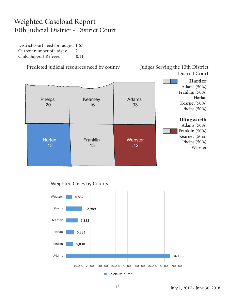### Weighted Caseload Report 10th Judicial District - District Court

District court need for judges: 1.67 Current number of judges: 2 Child Support Referee: 0.11

Predicted judicial resources need by county Judges Serving the 10th District

District Court



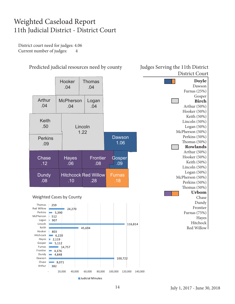### Weighted Caseload Report 11th Judicial District - District Court

District court need for judges: 4.06 Current number of judges: 4